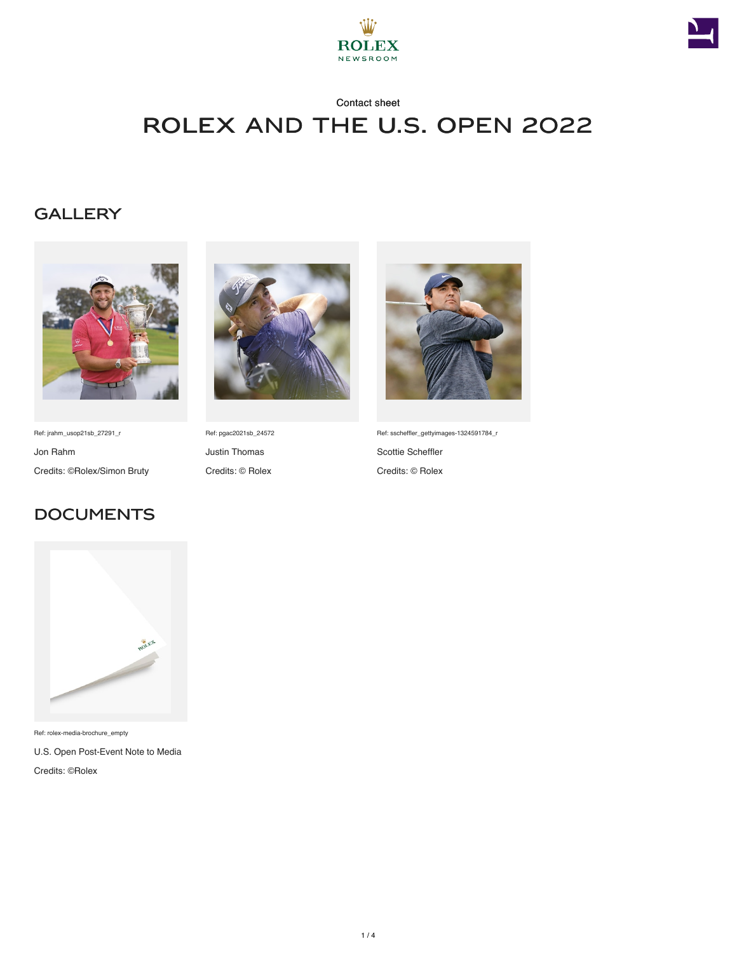



## Contact sheet Rolex and The U.S. Open 2022

### **GALLERY**



Ref: jrahm\_usop21sb\_27291\_r Jon Rahm Credits: ©Rolex/Simon Bruty

**DOCUMENTS** 



Ref: pgac2021sb\_24572 Justin Thomas Credits: © Rolex



Ref: sscheffler\_gettyimages-1324591784\_r Scottie Scheffler Credits: © Rolex



Ref: rolex-media-brochure\_empty

U.S. Open Post-Event Note to Media Credits: ©Rolex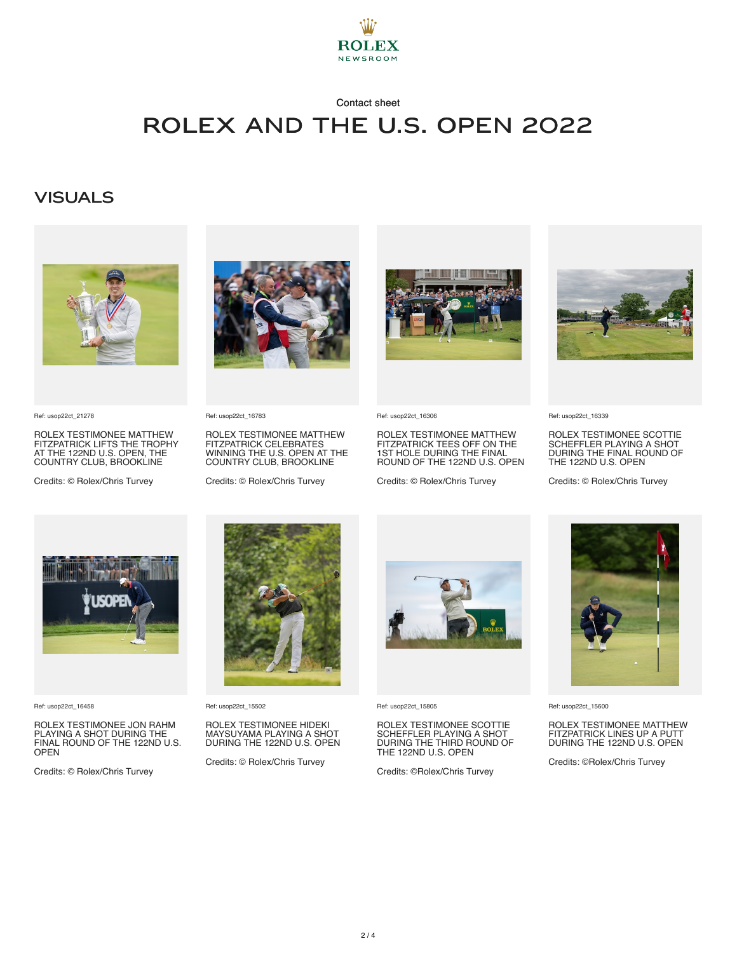

## Contact sheet

# Rolex and The U.S. Open 2022

#### **VISUALS**



Ref: usop22ct\_21278

ROLEX TESTIMONEE MATTHEW FITZPATRICK LIFTS THE TROPHY AT THE 122ND U.S. OPEN, THE COUNTRY CLUB, BROOKLINE

Credits: © Rolex/Chris Turvey



Ref: usop22ct\_16783

ROLEX TESTIMONEE MATTHEW FITZPATRICK CELEBRATES WINNING THE U.S. OPEN AT THE COUNTRY CLUB, BROOKLINE

Credits: © Rolex/Chris Turvey



Ref: usop22ct\_16306

ROLEX TESTIMONEE MATTHEW FITZPATRICK TEES OFF ON THE 1ST HOLE DURING THE FINAL ROUND OF THE 122ND U.S. OPEN

Credits: © Rolex/Chris Turvey



Ref: usop22ct\_16339

ROLEX TESTIMONEE SCOTTIE SCHEFFLER PLAYING A SHOT DURING THE FINAL ROUND OF THE 122ND U.S. OPEN

Credits: © Rolex/Chris Turvey



Ref: usop22ct\_16458

ROLEX TESTIMONEE JON RAHM PLAYING A SHOT DURING THE FINAL ROUND OF THE 122ND U.S. OPEN

Credits: © Rolex/Chris Turvey



Ref: usop22ct\_15502

ROLEX TESTIMONEE HIDEKI MAYSUYAMA PLAYING A SHOT DURING THE 122ND U.S. OPEN

Credits: © Rolex/Chris Turvey



Ref: usop22ct\_15805

ROLEX TESTIMONEE SCOTTIE SCHEFFLER PLAYING A SHOT DURING THE THIRD ROUND OF THE 122ND U.S. OPEN

Credits: ©Rolex/Chris Turvey



Ref: usop22ct\_15600

ROLEX TESTIMONEE MATTHEW FITZPATRICK LINES UP A PUTT DURING THE 122ND U.S. OPEN

Credits: ©Rolex/Chris Turvey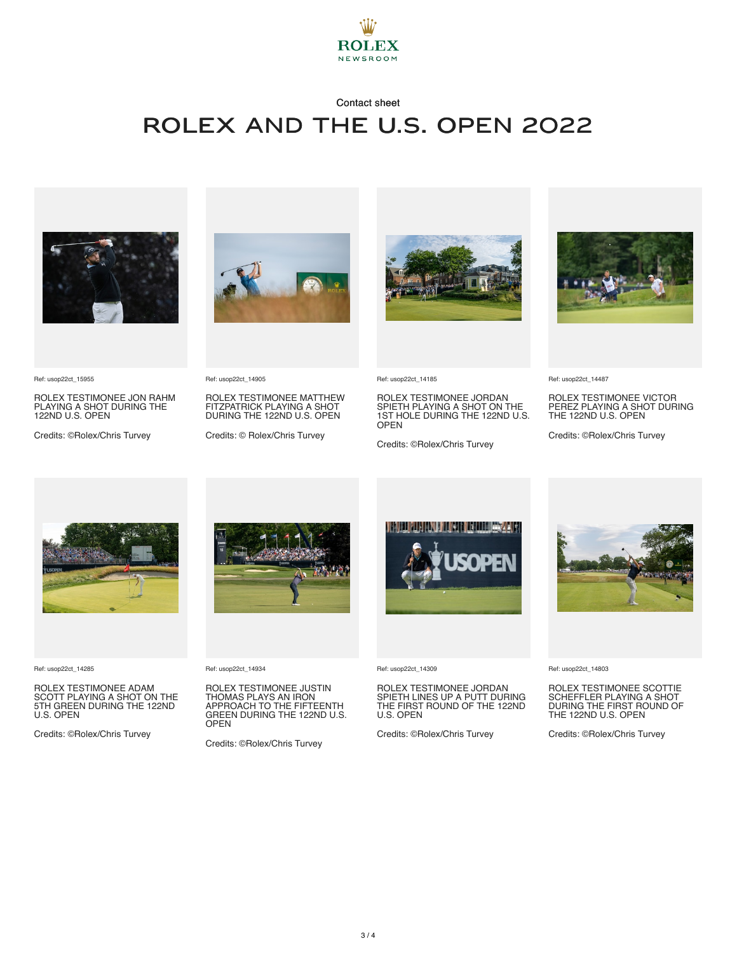

## Contact sheet Rolex and The U.S. Open 2022



Ref: usop22ct\_15955

ROLEX TESTIMONEE JON RAHM PLAYING A SHOT DURING THE 122ND U.S. OPEN

Credits: ©Rolex/Chris Turvey



Ref: usop22ct\_14905

ROLEX TESTIMONEE MATTHEW FITZPATRICK PLAYING A SHOT DURING THE 122ND U.S. OPEN

Credits: © Rolex/Chris Turvey



Ref: usop22ct\_14185

ROLEX TESTIMONEE JORDAN SPIETH PLAYING A SHOT ON THE 1ST HOLE DURING THE 122ND U.S. OPEN

Credits: ©Rolex/Chris Turvey



Ref: usop22ct\_14487

ROLEX TESTIMONEE VICTOR PEREZ PLAYING A SHOT DURING THE 122ND U.S. OPEN

Credits: ©Rolex/Chris Turvey



Ref: usop22ct\_14285

ROLEX TESTIMONEE ADAM SCOTT PLAYING A SHOT ON THE 5TH GREEN DURING THE 122ND U.S. OPEN

Credits: ©Rolex/Chris Turvey



Ref: usop22ct\_14934

ROLEX TESTIMONEE JUSTIN THOMAS PLAYS AN IRON APPROACH TO THE FIFTEENTH GREEN DURING THE 122ND U.S. OPEN

Credits: ©Rolex/Chris Turvey



Ref: usop22ct\_14309

ROLEX TESTIMONEE JORDAN SPIETH LINES UP A PUTT DURING THE FIRST ROUND OF THE 122ND U.S. OPEN

Credits: ©Rolex/Chris Turvey



Ref: usop22ct\_14803

ROLEX TESTIMONEE SCOTTIE SCHEFFLER PLAYING A SHOT DURING THE FIRST ROUND OF THE 122ND U.S. OPEN

Credits: ©Rolex/Chris Turvey